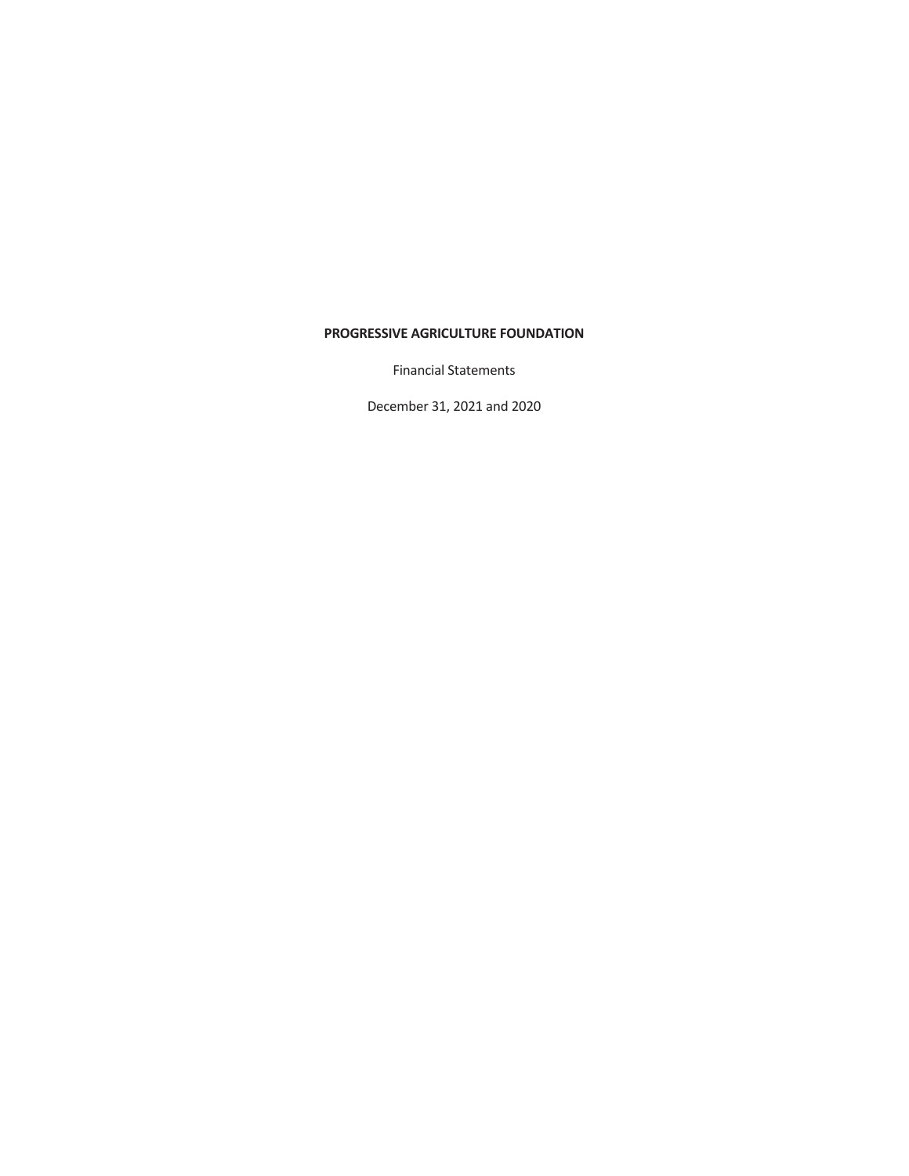Financial Statements

December 31, 2021 and 2020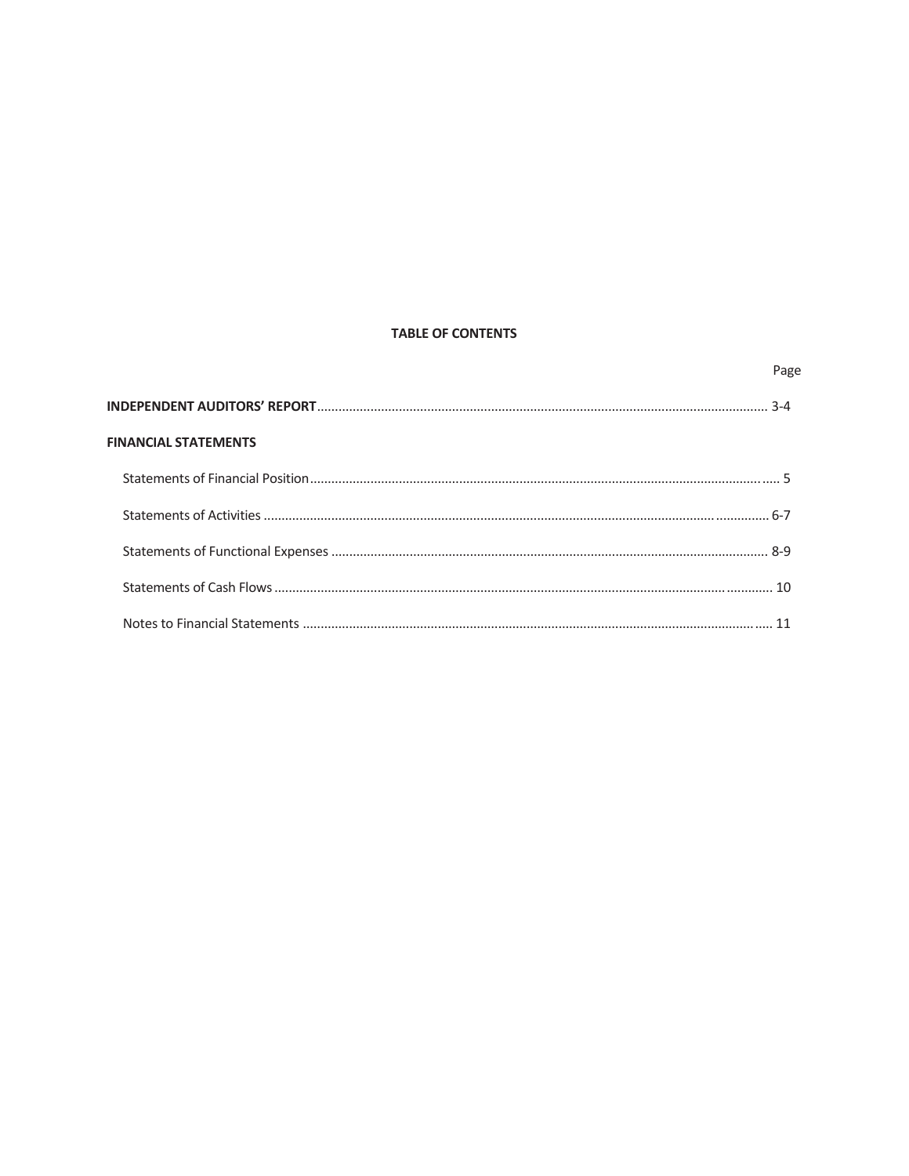## **TABLE OF CONTENTS**

| <b>FINANCIAL STATEMENTS</b> |  |
|-----------------------------|--|
|                             |  |
|                             |  |
|                             |  |
|                             |  |
|                             |  |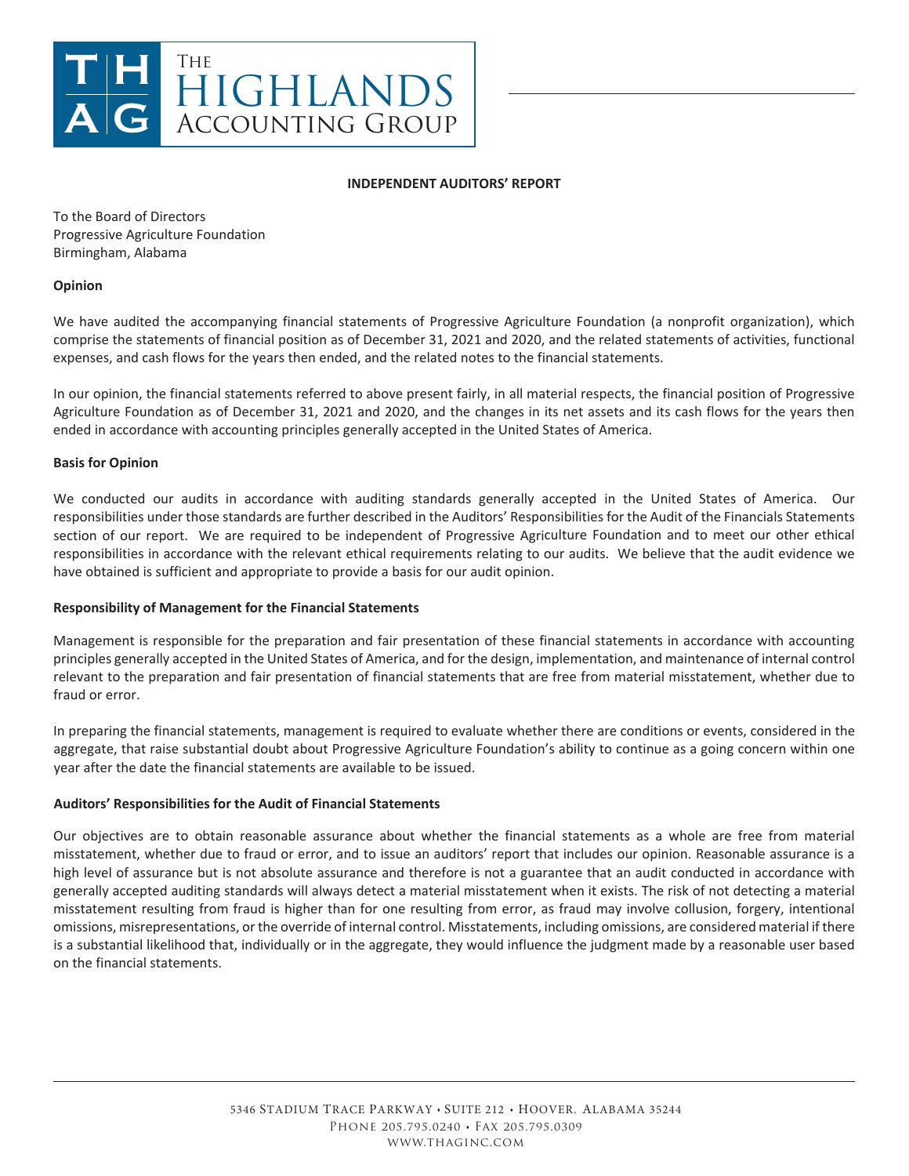

### **INDEPENDENT AUDITORS' REPORT**

To the Board of Directors Progressive Agriculture Foundation Birmingham, Alabama

## **Opinion**

We have audited the accompanying financial statements of Progressive Agriculture Foundation (a nonprofit organization), which comprise the statements of financial position as of December 31, 2021 and 2020, and the related statements of activities, functional expenses, and cash flows for the years then ended, and the related notes to the financial statements.

In our opinion, the financial statements referred to above present fairly, in all material respects, the financial position of Progressive Agriculture Foundation as of December 31, 2021 and 2020, and the changes in its net assets and its cash flows for the years then ended in accordance with accounting principles generally accepted in the United States of America.

## **Basis for Opinion**

We conducted our audits in accordance with auditing standards generally accepted in the United States of America. Our responsibilities under those standards are further described in the Auditors' Responsibilities for the Audit of the Financials Statements section of our report. We are required to be independent of Progressive Agriculture Foundation and to meet our other ethical responsibilities in accordance with the relevant ethical requirements relating to our audits. We believe that the audit evidence we have obtained is sufficient and appropriate to provide a basis for our audit opinion.

## **Responsibility of Management for the Financial Statements**

Management is responsible for the preparation and fair presentation of these financial statements in accordance with accounting principles generally accepted in the United States of America, and for the design, implementation, and maintenance of internal control relevant to the preparation and fair presentation of financial statements that are free from material misstatement, whether due to fraud or error.

In preparing the financial statements, management is required to evaluate whether there are conditions or events, considered in the aggregate, that raise substantial doubt about Progressive Agriculture Foundation's ability to continue as a going concern within one year after the date the financial statements are available to be issued.

## **Auditors' Responsibilities for the Audit of Financial Statements**

Our objectives are to obtain reasonable assurance about whether the financial statements as a whole are free from material misstatement, whether due to fraud or error, and to issue an auditors' report that includes our opinion. Reasonable assurance is a high level of assurance but is not absolute assurance and therefore is not a guarantee that an audit conducted in accordance with generally accepted auditing standards will always detect a material misstatement when it exists. The risk of not detecting a material misstatement resulting from fraud is higher than for one resulting from error, as fraud may involve collusion, forgery, intentional omissions, misrepresentations, orthe override of internal control. Misstatements, including omissions, are considered material if there is a substantial likelihood that, individually or in the aggregate, they would influence the judgment made by a reasonable user based on the financial statements.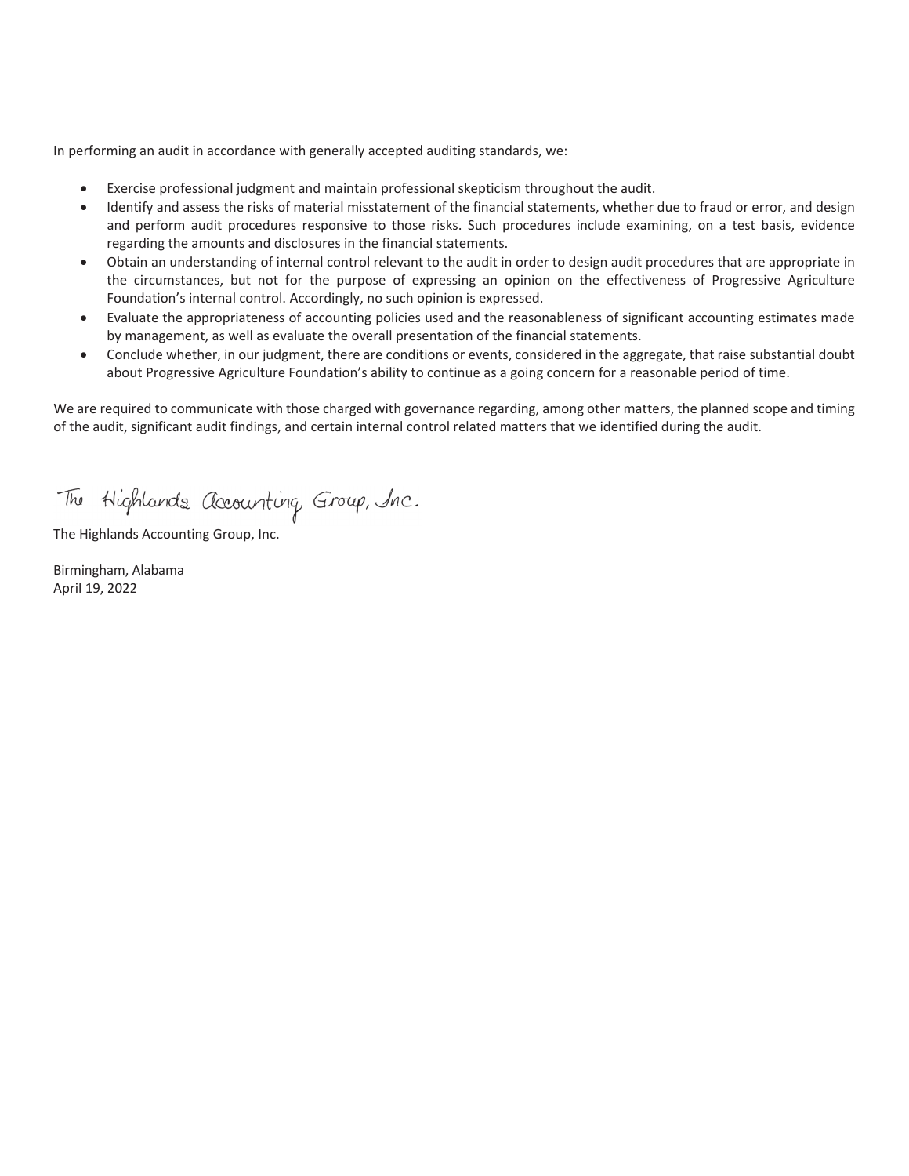In performing an audit in accordance with generally accepted auditing standards, we:

- x Exercise professional judgment and maintain professional skepticism throughout the audit.
- Identify and assess the risks of material misstatement of the financial statements, whether due to fraud or error, and design and perform audit procedures responsive to those risks. Such procedures include examining, on a test basis, evidence regarding the amounts and disclosures in the financial statements.
- x Obtain an understanding of internal control relevant to the audit in order to design audit procedures that are appropriate in the circumstances, but not for the purpose of expressing an opinion on the effectiveness of Progressive Agriculture Foundation's internal control. Accordingly, no such opinion is expressed.
- Evaluate the appropriateness of accounting policies used and the reasonableness of significant accounting estimates made by management, as well as evaluate the overall presentation of the financial statements.
- Conclude whether, in our judgment, there are conditions or events, considered in the aggregate, that raise substantial doubt about Progressive Agriculture Foundation's ability to continue as a going concern for a reasonable period of time.

We are required to communicate with those charged with governance regarding, among other matters, the planned scope and timing of the audit, significant audit findings, and certain internal control related matters that we identified during the audit.

The Highlands accounting Group, Inc.

The Highlands Accounting Group, Inc.

Birmingham, Alabama April 19, 2022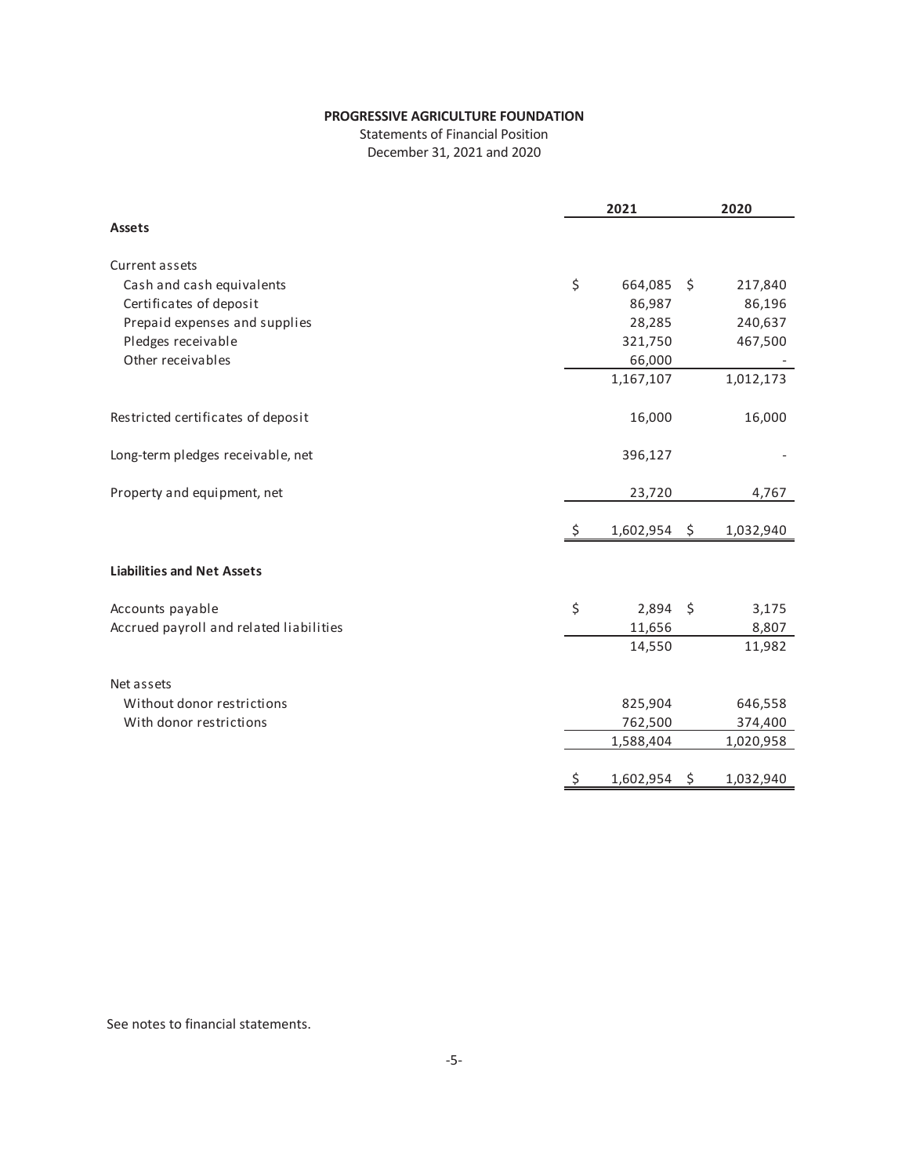Statements of Financial Position December 31, 2021 and 2020

|                                         | 2021             |     | 2020      |  |  |
|-----------------------------------------|------------------|-----|-----------|--|--|
| <b>Assets</b>                           |                  |     |           |  |  |
| Current assets                          |                  |     |           |  |  |
| Cash and cash equivalents               | \$<br>664,085    | Ŝ.  | 217,840   |  |  |
| Certificates of deposit                 | 86,987           |     | 86,196    |  |  |
| Prepaid expenses and supplies           | 28,285           |     | 240,637   |  |  |
| Pledges receivable                      | 321,750          |     | 467,500   |  |  |
| Other receivables                       | 66,000           |     |           |  |  |
|                                         | 1,167,107        |     | 1,012,173 |  |  |
| Restricted certificates of deposit      | 16,000           |     | 16,000    |  |  |
| Long-term pledges receivable, net       | 396,127          |     |           |  |  |
| Property and equipment, net             | 23,720           |     | 4,767     |  |  |
|                                         | $1,602,954$ \$   |     | 1,032,940 |  |  |
| <b>Liabilities and Net Assets</b>       |                  |     |           |  |  |
| Accounts payable                        | \$<br>$2,894$ \$ |     | 3,175     |  |  |
| Accrued payroll and related liabilities | 11,656           |     | 8,807     |  |  |
|                                         | 14,550           |     | 11,982    |  |  |
| Net assets                              |                  |     |           |  |  |
| Without donor restrictions              | 825,904          |     | 646,558   |  |  |
| With donor restrictions                 | 762,500          |     | 374,400   |  |  |
|                                         | 1,588,404        |     | 1,020,958 |  |  |
|                                         | \$<br>1,602,954  | -\$ | 1,032,940 |  |  |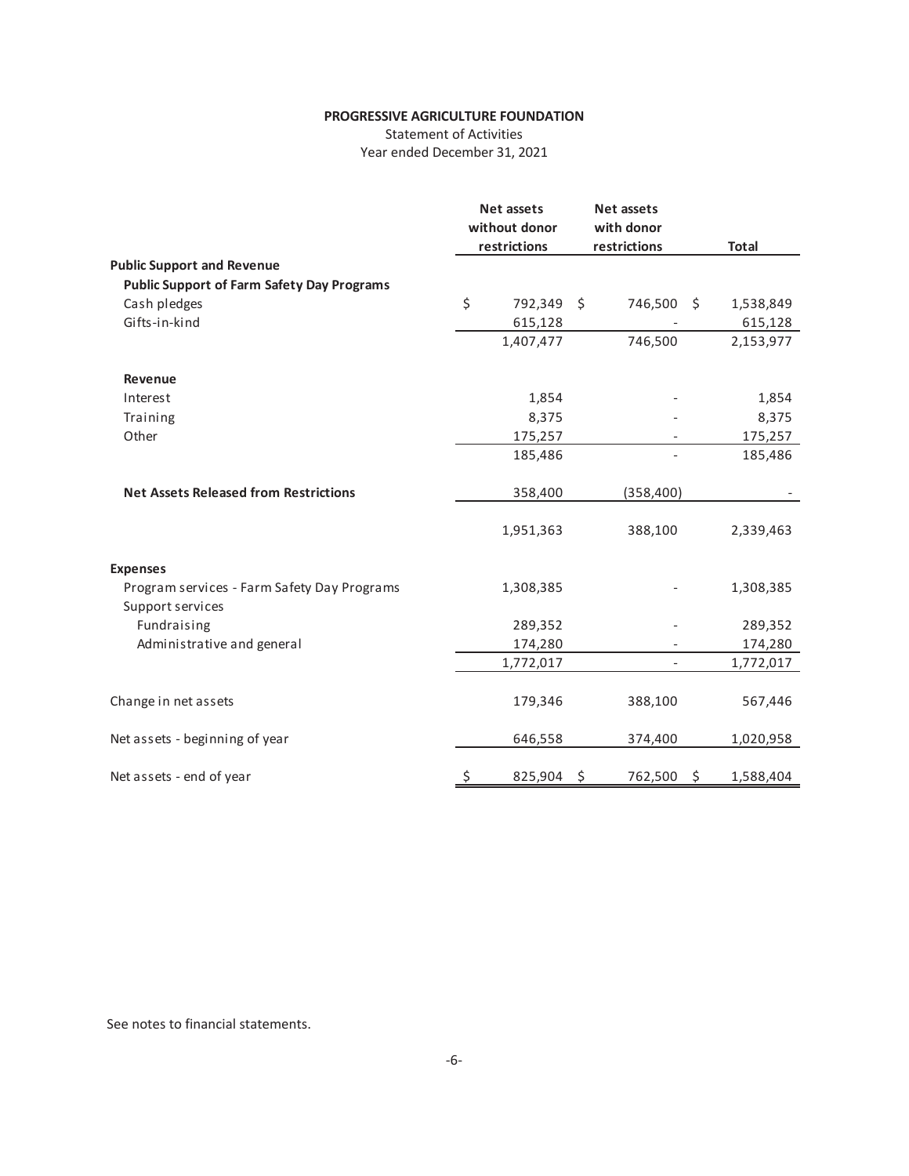Statement of Activities Year ended December 31, 2021

|                                                                 |    | <b>Net assets</b><br>without donor<br>restrictions |     | <b>Net assets</b><br>with donor<br>restrictions |      | <b>Total</b> |
|-----------------------------------------------------------------|----|----------------------------------------------------|-----|-------------------------------------------------|------|--------------|
| <b>Public Support and Revenue</b>                               |    |                                                    |     |                                                 |      |              |
| <b>Public Support of Farm Safety Day Programs</b>               |    |                                                    |     |                                                 |      |              |
| Cash pledges                                                    | \$ | 792,349                                            | -\$ | 746,500                                         | - \$ | 1,538,849    |
| Gifts-in-kind                                                   |    | 615,128                                            |     |                                                 |      | 615,128      |
|                                                                 |    | 1,407,477                                          |     | 746,500                                         |      | 2,153,977    |
| Revenue                                                         |    |                                                    |     |                                                 |      |              |
| Interest                                                        |    | 1,854                                              |     |                                                 |      | 1,854        |
| Training                                                        |    | 8,375                                              |     |                                                 |      | 8,375        |
| Other                                                           |    | 175,257                                            |     |                                                 |      | 175,257      |
|                                                                 |    | 185,486                                            |     |                                                 |      | 185,486      |
| <b>Net Assets Released from Restrictions</b>                    |    | 358,400                                            |     | (358, 400)                                      |      |              |
|                                                                 |    | 1,951,363                                          |     | 388,100                                         |      | 2,339,463    |
| <b>Expenses</b>                                                 |    |                                                    |     |                                                 |      |              |
| Program services - Farm Safety Day Programs<br>Support services |    | 1,308,385                                          |     |                                                 |      | 1,308,385    |
| Fundraising                                                     |    | 289,352                                            |     |                                                 |      | 289,352      |
| Administrative and general                                      |    | 174,280                                            |     |                                                 |      | 174,280      |
|                                                                 |    | 1,772,017                                          |     |                                                 |      | 1,772,017    |
| Change in net assets                                            |    | 179,346                                            |     | 388,100                                         |      | 567,446      |
| Net assets - beginning of year                                  |    | 646,558                                            |     | 374,400                                         |      | 1,020,958    |
| Net assets - end of year                                        | \$ | 825,904                                            | Ŝ   | 762,500                                         | \$   | 1,588,404    |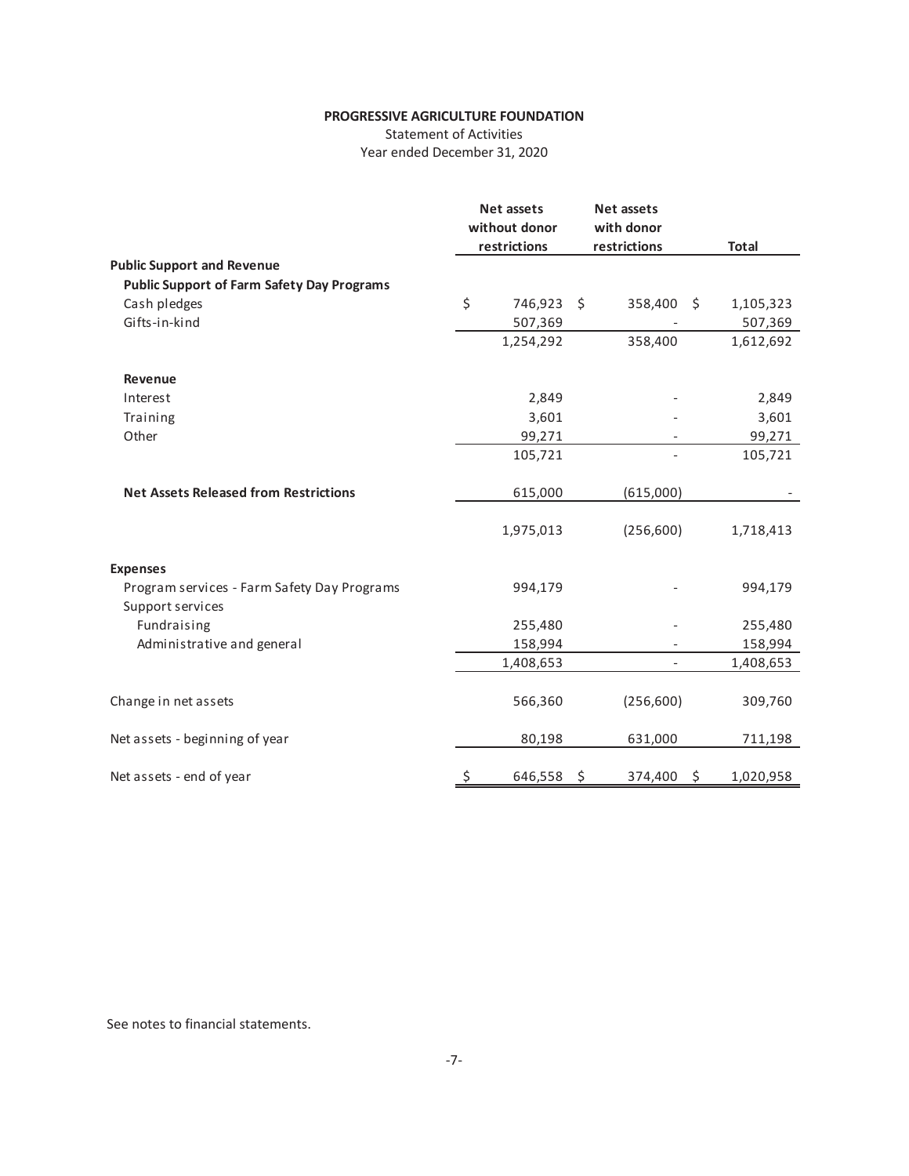Statement of Activities Year ended December 31, 2020

|                                                                 | <b>Net assets</b><br>without donor<br>restrictions |     | <b>Net assets</b><br>with donor<br>restrictions |    | <b>Total</b> |
|-----------------------------------------------------------------|----------------------------------------------------|-----|-------------------------------------------------|----|--------------|
| <b>Public Support and Revenue</b>                               |                                                    |     |                                                 |    |              |
| <b>Public Support of Farm Safety Day Programs</b>               |                                                    |     |                                                 |    |              |
| Cash pledges                                                    | \$<br>746,923                                      | -\$ | 358,400                                         | Ŝ. | 1,105,323    |
| Gifts-in-kind                                                   | 507,369                                            |     |                                                 |    | 507,369      |
|                                                                 | 1,254,292                                          |     | 358,400                                         |    | 1,612,692    |
| Revenue                                                         |                                                    |     |                                                 |    |              |
| Interest                                                        | 2,849                                              |     |                                                 |    | 2,849        |
| Training                                                        | 3,601                                              |     |                                                 |    | 3,601        |
| Other                                                           | 99,271                                             |     |                                                 |    | 99,271       |
|                                                                 | 105,721                                            |     |                                                 |    | 105,721      |
| <b>Net Assets Released from Restrictions</b>                    | 615,000                                            |     | (615,000)                                       |    |              |
|                                                                 | 1,975,013                                          |     | (256, 600)                                      |    | 1,718,413    |
| <b>Expenses</b>                                                 |                                                    |     |                                                 |    |              |
| Program services - Farm Safety Day Programs<br>Support services | 994,179                                            |     |                                                 |    | 994,179      |
| Fundraising                                                     | 255,480                                            |     |                                                 |    | 255,480      |
| Administrative and general                                      | 158,994                                            |     |                                                 |    | 158,994      |
|                                                                 | 1,408,653                                          |     |                                                 |    | 1,408,653    |
| Change in net assets                                            | 566,360                                            |     | (256, 600)                                      |    | 309,760      |
| Net assets - beginning of year                                  | 80,198                                             |     | 631,000                                         |    | 711,198      |
| Net assets - end of year                                        | \$<br>646,558                                      | Ś   | 374,400                                         | \$ | 1,020,958    |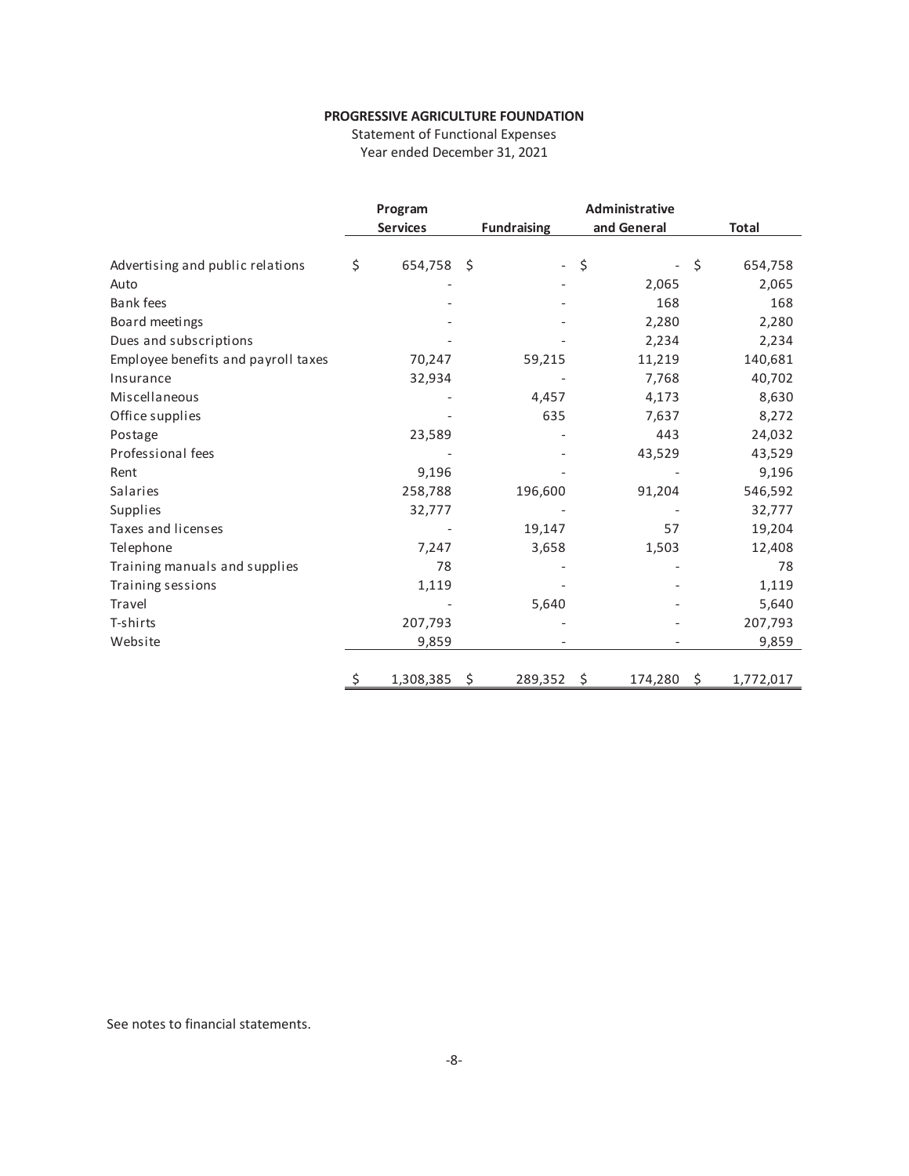Statement of Functional Expenses Year ended December 31, 2021

|                                     | Program         |           |     |                          |                         |                 |  |
|-------------------------------------|-----------------|-----------|-----|--------------------------|-------------------------|-----------------|--|
|                                     | <b>Services</b> |           |     | <b>Fundraising</b>       | and General             | <b>Total</b>    |  |
| Advertising and public relations    | \$              | 654,758   | -\$ | $\overline{\phantom{a}}$ | \$<br>$\qquad \qquad -$ | \$<br>654,758   |  |
| Auto                                |                 |           |     |                          | 2,065                   | 2,065           |  |
| <b>Bank fees</b>                    |                 |           |     |                          | 168                     | 168             |  |
| Board meetings                      |                 |           |     |                          | 2,280                   | 2,280           |  |
| Dues and subscriptions              |                 |           |     |                          | 2,234                   | 2,234           |  |
| Employee benefits and payroll taxes |                 | 70,247    |     | 59,215                   | 11,219                  | 140,681         |  |
| Insurance                           |                 | 32,934    |     |                          | 7,768                   | 40,702          |  |
| Miscellaneous                       |                 |           |     | 4,457                    | 4,173                   | 8,630           |  |
| Office supplies                     |                 |           |     | 635                      | 7,637                   | 8,272           |  |
| Postage                             |                 | 23,589    |     |                          | 443                     | 24,032          |  |
| Professional fees                   |                 |           |     |                          | 43,529                  | 43,529          |  |
| Rent                                |                 | 9,196     |     |                          |                         | 9,196           |  |
| Salaries                            |                 | 258,788   |     | 196,600                  | 91,204                  | 546,592         |  |
| Supplies                            |                 | 32,777    |     |                          |                         | 32,777          |  |
| Taxes and licenses                  |                 |           |     | 19,147                   | 57                      | 19,204          |  |
| Telephone                           |                 | 7,247     |     | 3,658                    | 1,503                   | 12,408          |  |
| Training manuals and supplies       |                 | 78        |     |                          |                         | 78              |  |
| Training sessions                   |                 | 1,119     |     |                          |                         | 1,119           |  |
| Travel                              |                 |           |     | 5,640                    |                         | 5,640           |  |
| T-shirts                            |                 | 207,793   |     |                          |                         | 207,793         |  |
| Website                             |                 | 9,859     |     |                          |                         | 9,859           |  |
|                                     | <u>\$</u>       | 1,308,385 | Ş   | 289,352                  | \$<br>174,280           | \$<br>1,772,017 |  |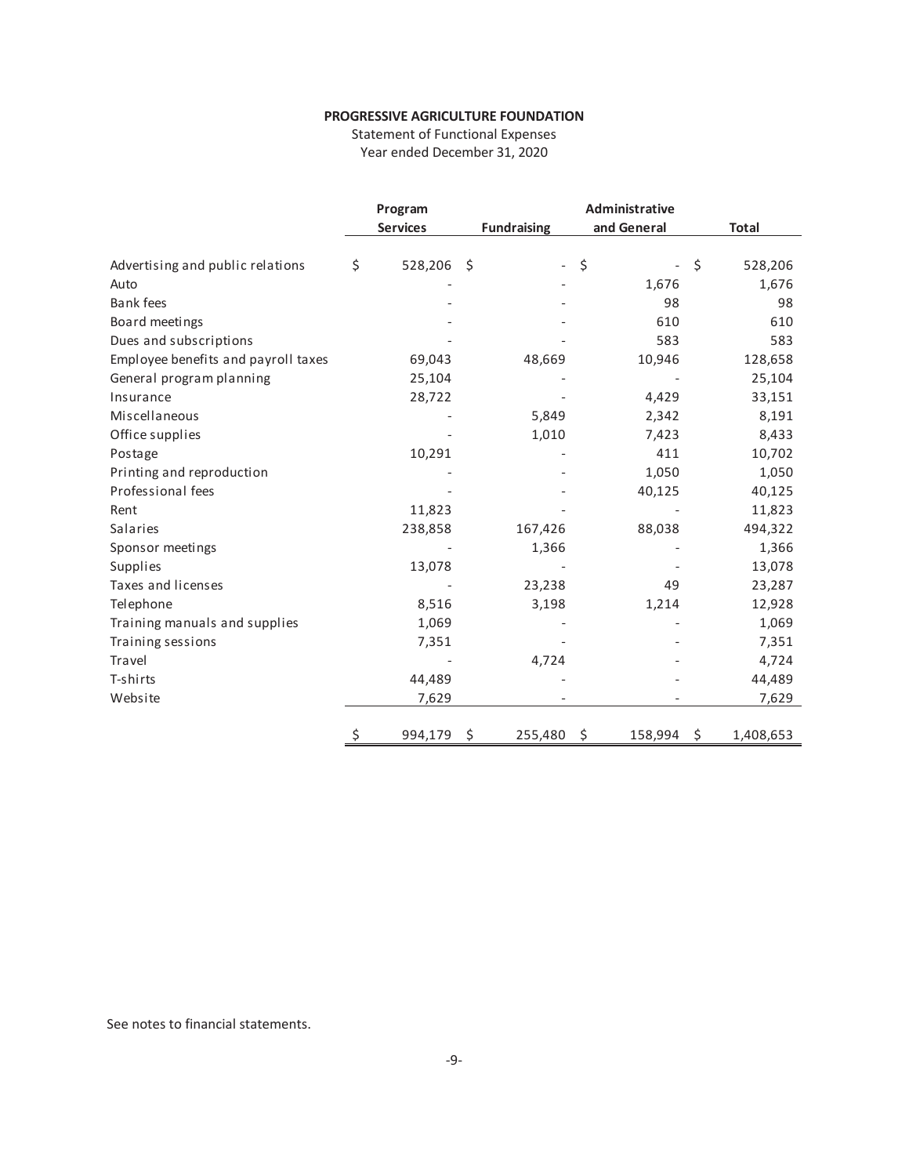Statement of Functional Expenses Year ended December 31, 2020

|                                     | Program         | Administrative |                          |                                |    |              |  |  |
|-------------------------------------|-----------------|----------------|--------------------------|--------------------------------|----|--------------|--|--|
|                                     | <b>Services</b> |                | <b>Fundraising</b>       | and General                    |    | <b>Total</b> |  |  |
| Advertising and public relations    | \$<br>528,206   | Ŝ.             | $\overline{\phantom{0}}$ | \$<br>$\overline{\phantom{a}}$ | \$ | 528,206      |  |  |
| Auto                                |                 |                |                          | 1,676                          |    | 1,676        |  |  |
| Bank fees                           |                 |                |                          | 98                             |    | 98           |  |  |
| Board meetings                      |                 |                |                          | 610                            |    | 610          |  |  |
| Dues and subscriptions              |                 |                |                          | 583                            |    | 583          |  |  |
| Employee benefits and payroll taxes | 69,043          |                | 48,669                   | 10,946                         |    | 128,658      |  |  |
| General program planning            | 25,104          |                |                          |                                |    | 25,104       |  |  |
| Insurance                           | 28,722          |                |                          | 4,429                          |    | 33,151       |  |  |
| Miscellaneous                       |                 |                | 5,849                    | 2,342                          |    | 8,191        |  |  |
| Office supplies                     |                 |                | 1,010                    | 7,423                          |    | 8,433        |  |  |
| Postage                             | 10,291          |                |                          | 411                            |    | 10,702       |  |  |
| Printing and reproduction           |                 |                |                          | 1,050                          |    | 1,050        |  |  |
| Professional fees                   |                 |                |                          | 40,125                         |    | 40,125       |  |  |
| Rent                                | 11,823          |                |                          |                                |    | 11,823       |  |  |
| Salaries                            | 238,858         |                | 167,426                  | 88,038                         |    | 494,322      |  |  |
| Sponsor meetings                    |                 |                | 1,366                    |                                |    | 1,366        |  |  |
| Supplies                            | 13,078          |                |                          |                                |    | 13,078       |  |  |
| Taxes and licenses                  |                 |                | 23,238                   | 49                             |    | 23,287       |  |  |
| Telephone                           | 8,516           |                | 3,198                    | 1,214                          |    | 12,928       |  |  |
| Training manuals and supplies       | 1,069           |                |                          |                                |    | 1,069        |  |  |
| Training sessions                   | 7,351           |                |                          |                                |    | 7,351        |  |  |
| Travel                              |                 |                | 4,724                    |                                |    | 4,724        |  |  |
| T-shirts                            | 44,489          |                |                          |                                |    | 44,489       |  |  |
| Website                             | 7,629           |                |                          |                                |    | 7,629        |  |  |
|                                     | \$<br>994,179   | \$             | 255,480                  | \$<br>158,994                  | \$ | 1,408,653    |  |  |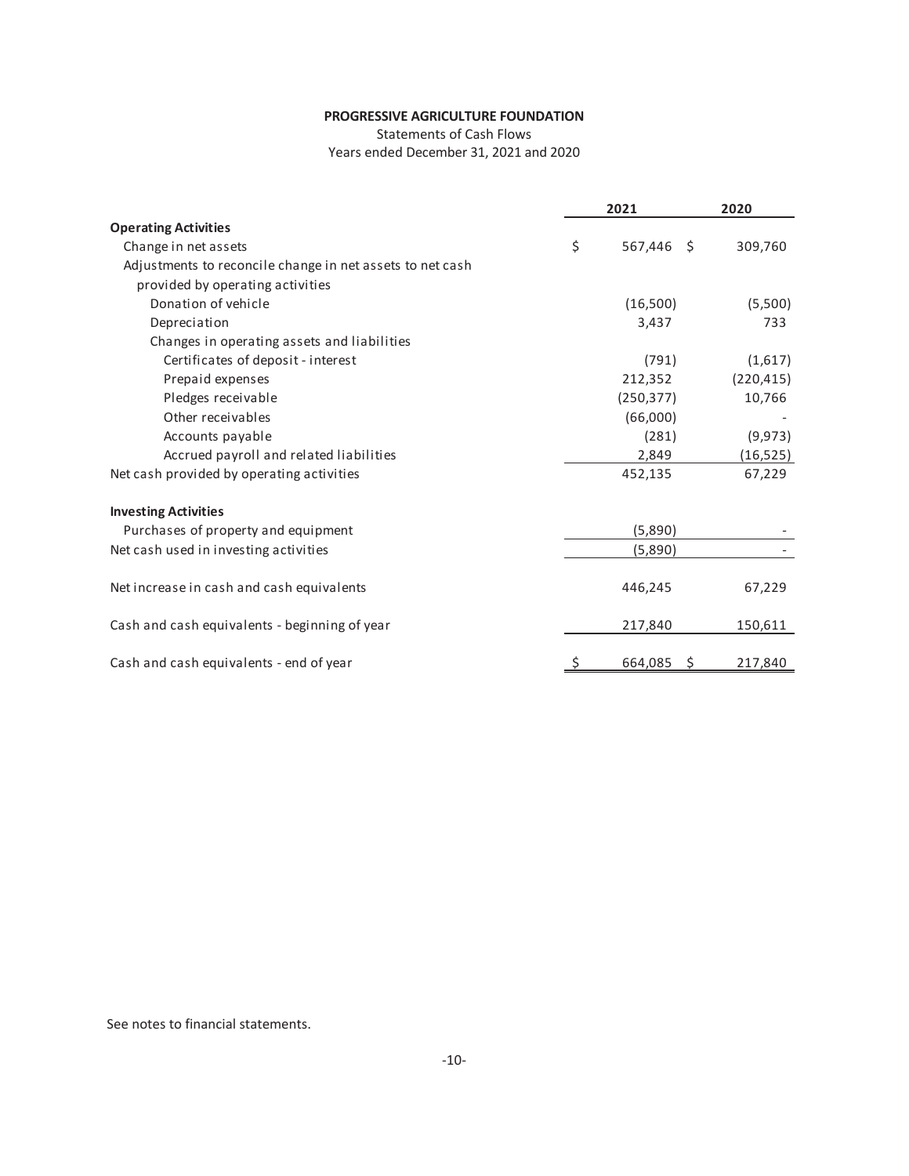Statements of Cash Flows Years ended December 31, 2021 and 2020

|                                                           | 2021             | 2020       |
|-----------------------------------------------------------|------------------|------------|
| <b>Operating Activities</b>                               |                  |            |
| Change in net assets                                      | \$<br>567,446 \$ | 309,760    |
| Adjustments to reconcile change in net assets to net cash |                  |            |
| provided by operating activities                          |                  |            |
| Donation of vehicle                                       | (16,500)         | (5,500)    |
| Depreciation                                              | 3,437            | 733        |
| Changes in operating assets and liabilities               |                  |            |
| Certificates of deposit - interest                        | (791)            | (1,617)    |
| Prepaid expenses                                          | 212,352          | (220, 415) |
| Pledges receivable                                        | (250, 377)       | 10,766     |
| Other receivables                                         | (66,000)         |            |
| Accounts payable                                          | (281)            | (9, 973)   |
| Accrued payroll and related liabilities                   | 2,849            | (16, 525)  |
| Net cash provided by operating activities                 | 452,135          | 67,229     |
| <b>Investing Activities</b>                               |                  |            |
| Purchases of property and equipment                       | (5,890)          |            |
| Net cash used in investing activities                     | (5,890)          |            |
| Net increase in cash and cash equivalents                 | 446,245          | 67,229     |
| Cash and cash equivalents - beginning of year             | 217,840          | 150,611    |
| Cash and cash equivalents - end of year                   | 664,085          | 217,840    |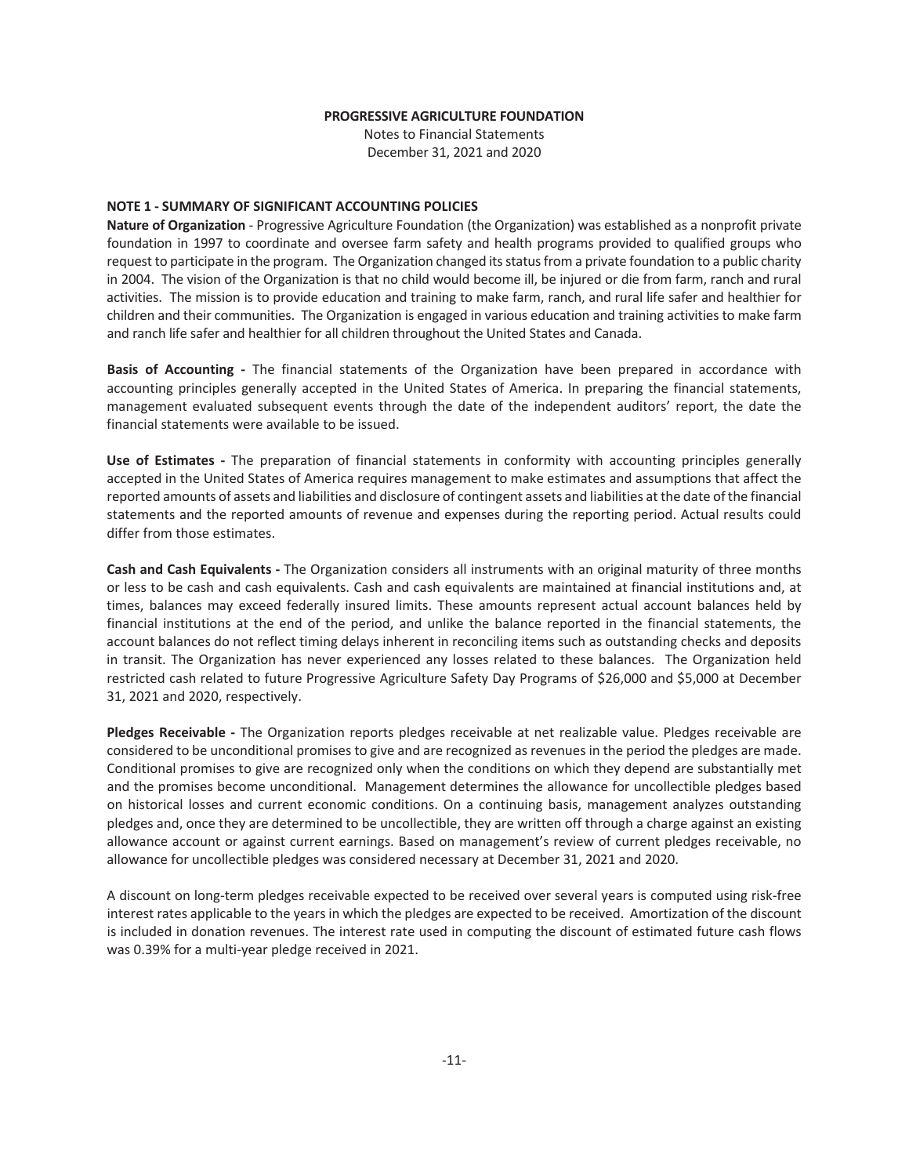Notes to Financial Statements December 31, 2021 and 2020

#### **NOTE 1 - SUMMARY OF SIGNIFICANT ACCOUNTING POLICIES**

**Nature of Organization** - Progressive Agriculture Foundation (the Organization) was established as a nonprofit private foundation in 1997 to coordinate and oversee farm safety and health programs provided to qualified groups who request to participate in the program. The Organization changed its status from a private foundation to a public charity in 2004. The vision of the Organization is that no child would become ill, be injured or die from farm, ranch and rural activities. The mission is to provide education and training to make farm, ranch, and rural life safer and healthier for children and their communities. The Organization is engaged in various education and training activities to make farm and ranch life safer and healthier for all children throughout the United States and Canada.

**Basis of Accounting** - The financial statements of the Organization have been prepared in accordance with accounting principles generally accepted in the United States of America. In preparing the financial statements, management evaluated subsequent events through the date of the independent auditors' report, the date the financial statements were available to be issued.

**Use of Estimates** - The preparation of financial statements in conformity with accounting principles generally accepted in the United States of America requires management to make estimates and assumptions that affect the reported amounts of assets and liabilities and disclosure of contingent assets and liabilities at the date ofthe financial statements and the reported amounts of revenue and expenses during the reporting period. Actual results could differ from those estimates.

**Cash and Cash Equivalents** - The Organization considers all instruments with an original maturity of three months or less to be cash and cash equivalents. Cash and cash equivalents are maintained at financial institutions and, at times, balances may exceed federally insured limits. These amounts represent actual account balances held by financial institutions at the end of the period, and unlike the balance reported in the financial statements, the account balances do not reflect timing delays inherent in reconciling items such as outstanding checks and deposits in transit. The Organization has never experienced any losses related to these balances. The Organization held restricted cash related to future Progressive Agriculture Safety Day Programs of \$26,000 and \$5,000 at December 31, 2021 and 2020, respectively.

**Pledges Receivable** - The Organization reports pledges receivable at net realizable value. Pledges receivable are considered to be unconditional promises to give and are recognized as revenuesin the period the pledges are made. Conditional promises to give are recognized only when the conditions on which they depend are substantially met and the promises become unconditional.Management determines the allowance for uncollectible pledges based on historical losses and current economic conditions. On a continuing basis, management analyzes outstanding pledges and, once they are determined to be uncollectible, they are written off through a charge against an existing allowance account or against current earnings. Based on management's review of current pledges receivable, no allowance for uncollectible pledges was considered necessary at December 31, 2021 and 2020.

A discount on long-term pledges receivable expected to be received over several years is computed using risk-free interest rates applicable to the years in which the pledges are expected to be received. Amortization of the discount is included in donation revenues. The interest rate used in computing the discount of estimated future cash flows was 0.39% for a multi-year pledge received in 2021.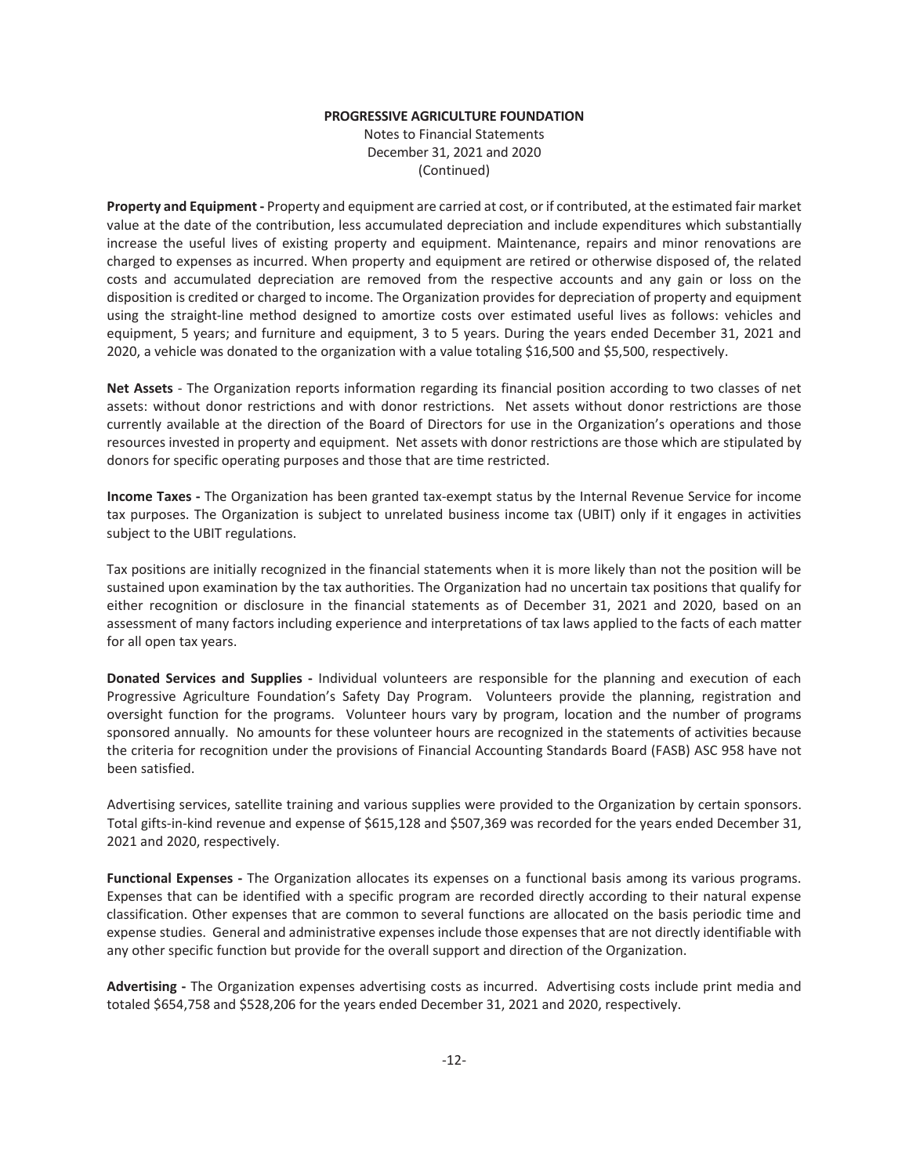Notes to Financial Statements December 31, 2021 and 2020 (Continued)

**Property and Equipment** - Property and equipment are carried at cost, or if contributed, at the estimated fair market value at the date of the contribution, less accumulated depreciation and include expenditures which substantially increase the useful lives of existing property and equipment. Maintenance, repairs and minor renovations are charged to expenses as incurred. When property and equipment are retired or otherwise disposed of, the related costs and accumulated depreciation are removed from the respective accounts and any gain or loss on the disposition is credited or charged to income. The Organization provides for depreciation of property and equipment using the straight-line method designed to amortize costs over estimated useful lives as follows: vehicles and equipment, 5 years; and furniture and equipment, 3 to 5 years. During the years ended December 31, 2021 and 2020, a vehicle was donated to the organization with a value totaling \$16,500 and \$5,500, respectively.

**Net Assets** - The Organization reports information regarding its financial position according to two classes of net assets: without donor restrictions and with donor restrictions. Net assets without donor restrictions are those currently available at the direction of the Board of Directors for use in the Organization's operations and those resources invested in property and equipment. Net assets with donor restrictions are those which are stipulated by donors for specific operating purposes and those that are time restricted.

**Income Taxes** - The Organization has been granted tax-exempt status by the Internal Revenue Service for income tax purposes. The Organization is subject to unrelated business income tax (UBIT) only if it engages in activities subject to the UBIT regulations.

Tax positions are initially recognized in the financial statements when it is more likely than not the position will be sustained upon examination by the tax authorities. The Organization had no uncertain tax positions that qualify for either recognition or disclosure in the financial statements as of December 31, 2021 and 2020, based on an assessment of many factors including experience and interpretations of tax laws applied to the facts of each matter for all open tax years.

**Donated Services and Supplies** - Individual volunteers are responsible for the planning and execution of each Progressive Agriculture Foundation's Safety Day Program. Volunteers provide the planning, registration and oversight function for the programs. Volunteer hours vary by program, location and the number of programs sponsored annually. No amounts for these volunteer hours are recognized in the statements of activities because the criteria for recognition under the provisions of Financial Accounting Standards Board (FASB) ASC 958 have not been satisfied.

Advertising services, satellite training and various supplies were provided to the Organization by certain sponsors. Total gifts-in-kind revenue and expense of \$615,128 and \$507,369 was recorded for the years ended December 31, 2021 and 2020, respectively.

**Functional Expenses** - The Organization allocates its expenses on a functional basis among its various programs. Expenses that can be identified with a specific program are recorded directly according to their natural expense classification. Other expenses that are common to several functions are allocated on the basis periodic time and expense studies. General and administrative expenses include those expenses that are not directly identifiable with any other specific function but provide for the overall support and direction of the Organization.

**Advertising** - The Organization expenses advertising costs as incurred. Advertising costs include print media and totaled \$654,758 and \$528,206 for the years ended December 31, 2021 and 2020, respectively.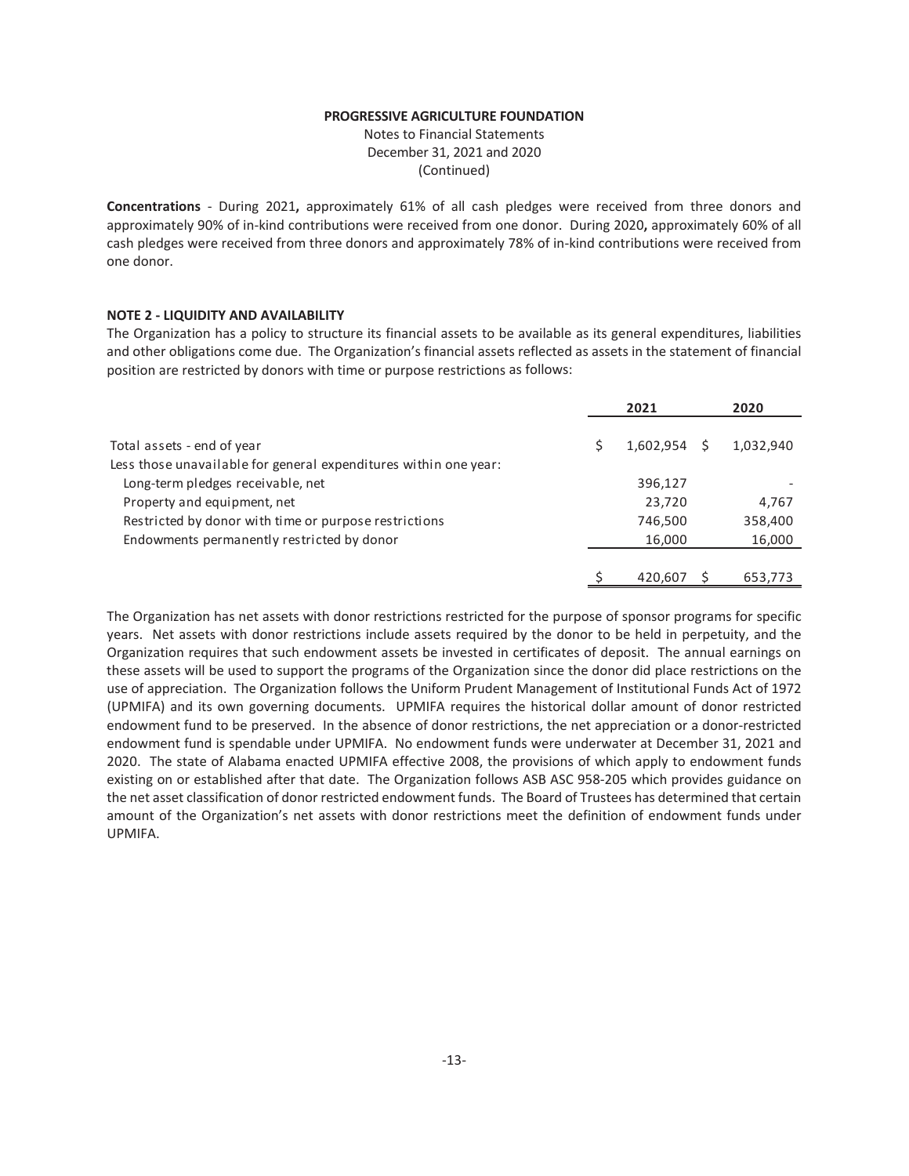Notes to Financial Statements December 31, 2021 and 2020 (Continued)

**Concentrations** - During 2021, approximately 61% of all cash pledges were received from three donors and approximately 90% of in-kind contributions were received from one donor. During 2020, approximately 60% of all cash pledges were received from three donors and approximately 78% of in-kind contributions were received from one donor.

#### **NOTE 2 - LIQUIDITY AND AVAILABILITY**

The Organization has a policy to structure its financial assets to be available as its general expenditures, liabilities and other obligations come due. The Organization's financial assets reflected as assets in the statement of financial position are restricted by donors with time or purpose restrictions as follows:

|                                                                  | 2021      | 2020      |
|------------------------------------------------------------------|-----------|-----------|
|                                                                  |           |           |
| Total assets - end of year                                       | 1,602,954 | 1,032,940 |
| Less those unavailable for general expenditures within one year: |           |           |
| Long-term pledges receivable, net                                | 396,127   |           |
| Property and equipment, net                                      | 23,720    | 4,767     |
| Restricted by donor with time or purpose restrictions            | 746,500   | 358,400   |
| Endowments permanently restricted by donor                       | 16,000    | 16,000    |
|                                                                  |           |           |
|                                                                  | 420.607   | 653,773   |

The Organization has net assets with donor restrictions restricted for the purpose of sponsor programs for specific years. Net assets with donor restrictions include assets required by the donor to be held in perpetuity, and the Organization requires that such endowment assets be invested in certificates of deposit.The annual earnings on these assets will be used to support the programs of the Organization since the donor did place restrictions on the use of appreciation. The Organization follows the Uniform Prudent Management of Institutional Funds Act of 1972 (UPMIFA) and its own governing documents. UPMIFA requires the historical dollar amount of donor restricted endowment fund to be preserved. In the absence of donor restrictions, the net appreciation or a donor-restricted endowment fund is spendable under UPMIFA. No endowment funds were underwater at December 31, 2021 and 2020.The state of Alabama enacted UPMIFA effective 2008, the provisions of which apply to endowment funds existing on or established after that date. The Organization follows ASB ASC 958-205 which provides guidance on the net asset classification of donor restricted endowment funds. The Board of Trustees has determined that certain amount of the Organization's net assets with donor restrictions meet the definition of endowment funds under UPMIFA.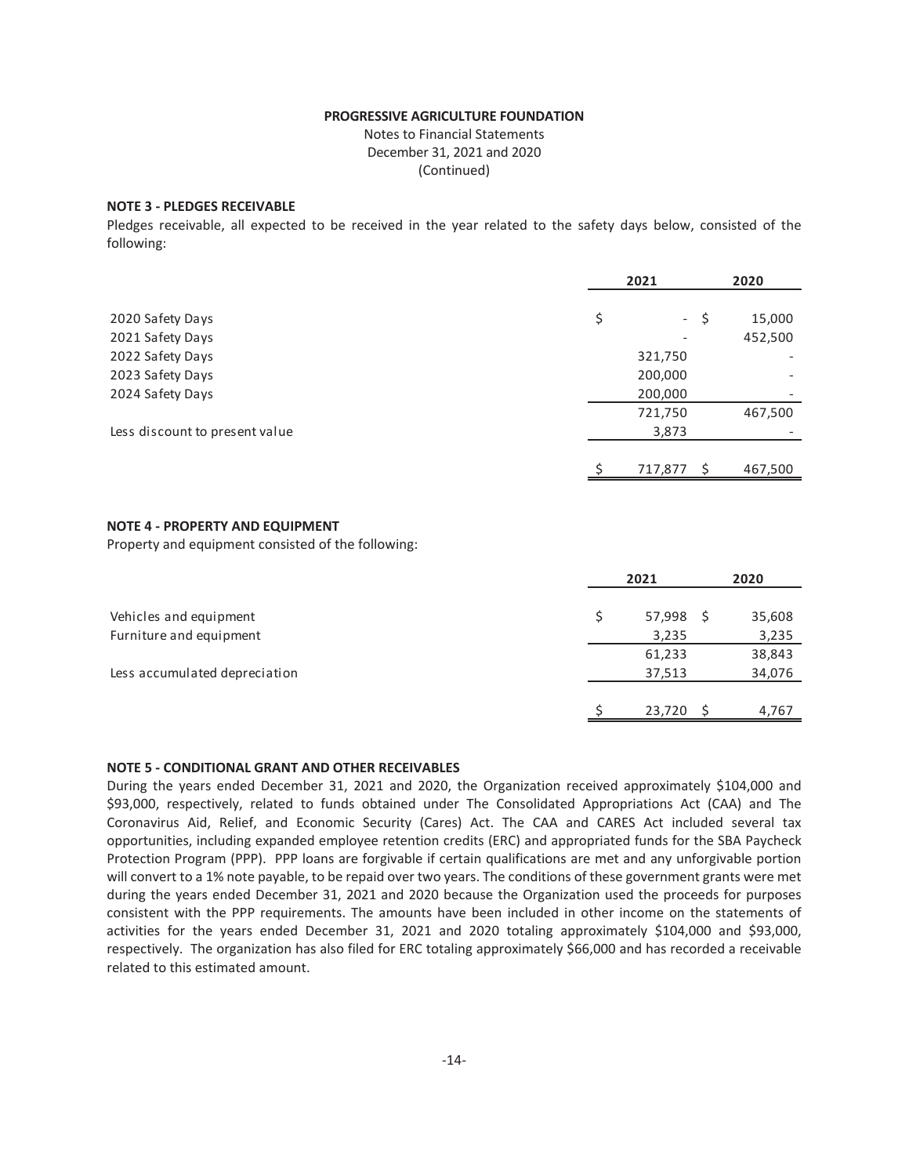Notes to Financial Statements December 31, 2021 and 2020 (Continued)

### **NOTE 3 - PLEDGES RECEIVABLE**

Pledges receivable, all expected to be received in the year related to the safety days below, consisted of the following:

|                                | 2021 |         |     | 2020                     |
|--------------------------------|------|---------|-----|--------------------------|
|                                |      |         |     |                          |
| 2020 Safety Days               | \$   | $\sim$  | -\$ | 15,000                   |
| 2021 Safety Days               |      |         |     | 452,500                  |
| 2022 Safety Days               |      | 321,750 |     |                          |
| 2023 Safety Days               |      | 200,000 |     |                          |
| 2024 Safety Days               |      | 200,000 |     | $\overline{\phantom{0}}$ |
|                                |      | 721,750 |     | 467,500                  |
| Less discount to present value |      | 3,873   |     |                          |
|                                |      |         |     |                          |
|                                |      | 717,877 |     | 467,500                  |

#### **NOTE 4 - PROPERTY AND EQUIPMENT**

Property and equipment consisted of the following:

|                               | 2021   | 2020   |
|-------------------------------|--------|--------|
|                               |        |        |
| Vehicles and equipment        | 57,998 | 35,608 |
| Furniture and equipment       | 3,235  | 3,235  |
|                               | 61,233 | 38,843 |
| Less accumulated depreciation | 37,513 | 34,076 |
|                               |        |        |
|                               | 23,720 | 4,767  |

## **NOTE 5 - CONDITIONAL GRANT AND OTHER RECEIVABLES**

During the years ended December 31, 2021 and 2020, the Organization received approximately \$104,000 and \$93,000, respectively, related to funds obtained under The Consolidated Appropriations Act (CAA) and The Coronavirus Aid, Relief, and Economic Security (Cares) Act. The CAA and CARES Act included several tax opportunities, including expanded employee retention credits (ERC) and appropriated funds for the SBA Paycheck Protection Program (PPP). PPP loans are forgivable if certain qualifications are met and any unforgivable portion will convert to a 1% note payable, to be repaid over two years. The conditions of these government grants were met during the years ended December 31, 2021 and 2020 because the Organization used the proceeds for purposes consistent with the PPP requirements. The amounts have been included in other income on the statements of activities for the years ended December 31, 2021 and 2020 totaling approximately \$104,000 and \$93,000, respectively. The organization has also filed for ERC totaling approximately \$66,000 and has recorded a receivable related to this estimated amount.